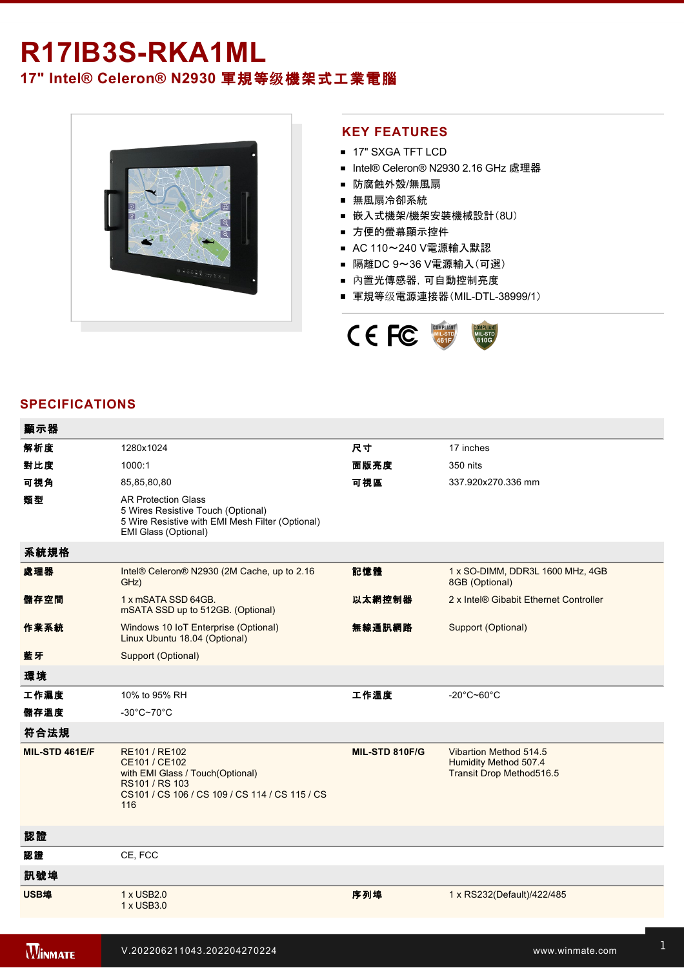# R17IB3S-RKA1ML **17" Intel® Celeron® N2930** 軍規等级機架式工業電腦



### **KEY FEATURES**

- **17" SXGA TFT LCD**
- Intel® Celeron® N2930 2.16 GHz 處理器
- 防腐蝕外殼/無風扇
- 無風扇冷卻系統
- 嵌入式機架/機架安裝機械設計(8U)
- 方便的螢幕顯示控件
- AC 110~240 V電源輸入默認
- 隔離DC 9~36 V電源輸入(可選)
- 內置光傳感器,可自動控制亮度
- 軍規等级電源連接器(MIL-DTL-38999/1)



# **SPECIFICATIONS**

| 顯示器            |                                                                                                                                               |                |                                                                                    |
|----------------|-----------------------------------------------------------------------------------------------------------------------------------------------|----------------|------------------------------------------------------------------------------------|
| 解析度            | 1280x1024                                                                                                                                     | 尺寸             | 17 inches                                                                          |
| 對比度            | 1000:1                                                                                                                                        | 面版亮度           | 350 nits                                                                           |
| 可視角            | 85,85,80,80                                                                                                                                   | 可視區            | 337.920x270.336 mm                                                                 |
| 類型             | <b>AR Protection Glass</b><br>5 Wires Resistive Touch (Optional)<br>5 Wire Resistive with EMI Mesh Filter (Optional)<br>EMI Glass (Optional)  |                |                                                                                    |
| 系統規格           |                                                                                                                                               |                |                                                                                    |
| 處理器            | Intel® Celeron® N2930 (2M Cache, up to 2.16<br>GHz)                                                                                           | 記憶體            | 1 x SO-DIMM, DDR3L 1600 MHz, 4GB<br>8GB (Optional)                                 |
| 儲存空間           | 1 x mSATA SSD 64GB.<br>mSATA SSD up to 512GB. (Optional)                                                                                      | 以太網控制器         | 2 x Intel® Gibabit Ethernet Controller                                             |
| 作業系統           | Windows 10 IoT Enterprise (Optional)<br>Linux Ubuntu 18.04 (Optional)                                                                         | 無線通訊網路         | Support (Optional)                                                                 |
| 藍牙             | Support (Optional)                                                                                                                            |                |                                                                                    |
| 環境             |                                                                                                                                               |                |                                                                                    |
| 工作濕度           | 10% to 95% RH                                                                                                                                 | 工作溫度           | $-20^{\circ}$ C~60 $^{\circ}$ C                                                    |
| 儲存溫度           | $-30^{\circ}$ C~70 $^{\circ}$ C                                                                                                               |                |                                                                                    |
| 符合法規           |                                                                                                                                               |                |                                                                                    |
| MIL-STD 461E/F | RE101 / RE102<br>CE101 / CE102<br>with EMI Glass / Touch(Optional)<br>RS101 / RS 103<br>CS101 / CS 106 / CS 109 / CS 114 / CS 115 / CS<br>116 | MIL-STD 810F/G | Vibartion Method 514.5<br>Humidity Method 507.4<br><b>Transit Drop Method516.5</b> |
| 認證             |                                                                                                                                               |                |                                                                                    |
| 認證             | CE, FCC                                                                                                                                       |                |                                                                                    |
| 訊號埠            |                                                                                                                                               |                |                                                                                    |
| USB埠           | 1 x USB2.0<br>1 x USB3.0                                                                                                                      | 序列埠            | 1 x RS232(Default)/422/485                                                         |